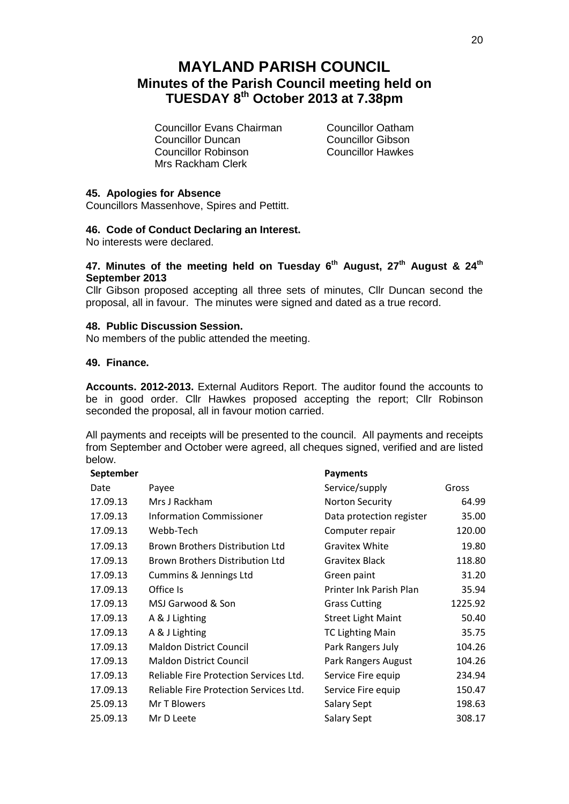# **MAYLAND PARISH COUNCIL Minutes of the Parish Council meeting held on TUESDAY 8 th October 2013 at 7.38pm**

Councillor Evans Chairman Councillor Oatham **Councillor Duncan**<br>
Councillor Robinson<br>
Councillor Hawkes Councillor Robinson Mrs Rackham Clerk

## **45. Apologies for Absence**

Councillors Massenhove, Spires and Pettitt.

## **46. Code of Conduct Declaring an Interest.**

No interests were declared.

# **47. Minutes of the meeting held on Tuesday 6th August, 27th August & 24th September 2013**

Cllr Gibson proposed accepting all three sets of minutes, Cllr Duncan second the proposal, all in favour. The minutes were signed and dated as a true record.

#### **48. Public Discussion Session.**

No members of the public attended the meeting.

#### **49. Finance.**

**Accounts. 2012-2013.** External Auditors Report. The auditor found the accounts to be in good order. Cllr Hawkes proposed accepting the report; Cllr Robinson seconded the proposal, all in favour motion carried.

All payments and receipts will be presented to the council. All payments and receipts from September and October were agreed, all cheques signed, verified and are listed below.

| September |                                        | <b>Payments</b>           |         |
|-----------|----------------------------------------|---------------------------|---------|
| Date      | Payee                                  | Service/supply            | Gross   |
| 17.09.13  | Mrs J Rackham                          | <b>Norton Security</b>    | 64.99   |
| 17.09.13  | <b>Information Commissioner</b>        | Data protection register  | 35.00   |
| 17.09.13  | Webb-Tech                              | Computer repair           | 120.00  |
| 17.09.13  | Brown Brothers Distribution Ltd        | Gravitex White            | 19.80   |
| 17.09.13  | Brown Brothers Distribution Ltd        | <b>Gravitex Black</b>     | 118.80  |
| 17.09.13  | Cummins & Jennings Ltd                 | Green paint               | 31.20   |
| 17.09.13  | Office Is                              | Printer Ink Parish Plan   | 35.94   |
| 17.09.13  | MSJ Garwood & Son                      | <b>Grass Cutting</b>      | 1225.92 |
| 17.09.13  | A & J Lighting                         | <b>Street Light Maint</b> | 50.40   |
| 17.09.13  | A & J Lighting                         | <b>TC Lighting Main</b>   | 35.75   |
| 17.09.13  | <b>Maldon District Council</b>         | Park Rangers July         | 104.26  |
| 17.09.13  | <b>Maldon District Council</b>         | Park Rangers August       | 104.26  |
| 17.09.13  | Reliable Fire Protection Services Ltd. | Service Fire equip        | 234.94  |
| 17.09.13  | Reliable Fire Protection Services Ltd. | Service Fire equip        | 150.47  |
| 25.09.13  | Mr T Blowers                           | <b>Salary Sept</b>        | 198.63  |
| 25.09.13  | Mr D Leete                             | <b>Salary Sept</b>        | 308.17  |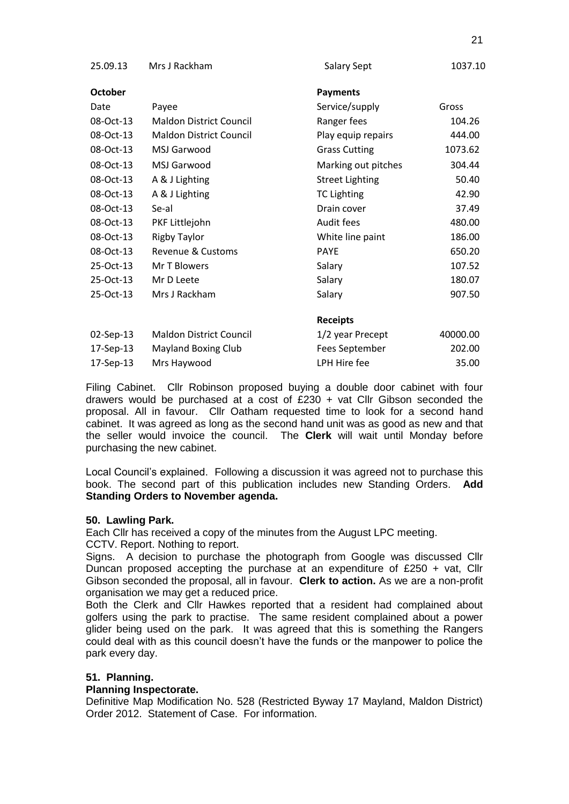| 25.09.13       | Mrs J Rackham                  | <b>Salary Sept</b>     | 1037.10  |
|----------------|--------------------------------|------------------------|----------|
| <b>October</b> |                                | <b>Payments</b>        |          |
| Date           | Payee                          | Service/supply         | Gross    |
| 08-Oct-13      | <b>Maldon District Council</b> | Ranger fees            | 104.26   |
| 08-Oct-13      | <b>Maldon District Council</b> | Play equip repairs     | 444.00   |
| 08-Oct-13      | MSJ Garwood                    | <b>Grass Cutting</b>   | 1073.62  |
| 08-Oct-13      | <b>MSJ Garwood</b>             | Marking out pitches    | 304.44   |
| 08-Oct-13      | A & J Lighting                 | <b>Street Lighting</b> | 50.40    |
| 08-Oct-13      | A & J Lighting                 | <b>TC Lighting</b>     | 42.90    |
| 08-Oct-13      | Se-al                          | Drain cover            | 37.49    |
| 08-Oct-13      | PKF Littlejohn                 | Audit fees             | 480.00   |
| 08-Oct-13      | <b>Rigby Taylor</b>            | White line paint       | 186.00   |
| 08-Oct-13      | Revenue & Customs              | <b>PAYE</b>            | 650.20   |
| 25-Oct-13      | Mr T Blowers                   | Salary                 | 107.52   |
| 25-Oct-13      | Mr D Leete                     | Salary                 | 180.07   |
| 25-Oct-13      | Mrs J Rackham                  | Salary                 | 907.50   |
|                |                                | <b>Receipts</b>        |          |
| 02-Sep-13      | <b>Maldon District Council</b> | 1/2 year Precept       | 40000.00 |
| 17-Sep-13      | <b>Mayland Boxing Club</b>     | Fees September         | 202.00   |
| 17-Sep-13      | Mrs Haywood                    | LPH Hire fee           | 35.00    |

Filing Cabinet. Cllr Robinson proposed buying a double door cabinet with four drawers would be purchased at a cost of  $£230 + \text{vat Clir}$  Gibson seconded the proposal. All in favour. Cllr Oatham requested time to look for a second hand cabinet. It was agreed as long as the second hand unit was as good as new and that the seller would invoice the council. The **Clerk** will wait until Monday before purchasing the new cabinet.

Local Council's explained. Following a discussion it was agreed not to purchase this book. The second part of this publication includes new Standing Orders. **Add Standing Orders to November agenda.**

#### **50. Lawling Park.**

Each Cllr has received a copy of the minutes from the August LPC meeting. CCTV. Report. Nothing to report.

Signs. A decision to purchase the photograph from Google was discussed Cllr Duncan proposed accepting the purchase at an expenditure of £250 + vat, Cllr Gibson seconded the proposal, all in favour. **Clerk to action.** As we are a non-profit organisation we may get a reduced price.

Both the Clerk and Cllr Hawkes reported that a resident had complained about golfers using the park to practise. The same resident complained about a power glider being used on the park. It was agreed that this is something the Rangers could deal with as this council doesn't have the funds or the manpower to police the park every day.

# **51. Planning.**

#### **Planning Inspectorate.**

Definitive Map Modification No. 528 (Restricted Byway 17 Mayland, Maldon District) Order 2012. Statement of Case. For information.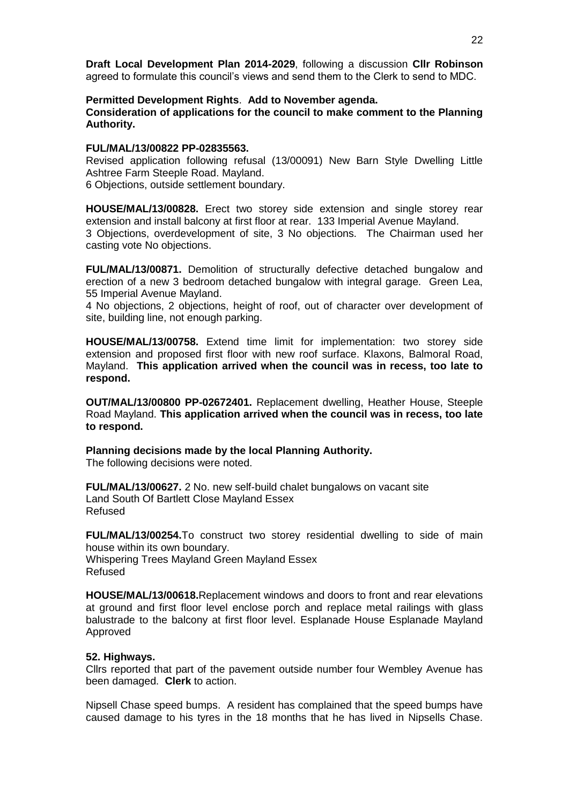**Draft Local Development Plan 2014-2029**, following a discussion **Cllr Robinson**  agreed to formulate this council's views and send them to the Clerk to send to MDC.

#### **Permitted Development Rights**. **Add to November agenda. Consideration of applications for the council to make comment to the Planning Authority.**

#### **FUL/MAL/13/00822 PP-02835563.**

Revised application following refusal (13/00091) New Barn Style Dwelling Little Ashtree Farm Steeple Road. Mayland.

6 Objections, outside settlement boundary.

**HOUSE/MAL/13/00828.** Erect two storey side extension and single storey rear extension and install balcony at first floor at rear. 133 Imperial Avenue Mayland. 3 Objections, overdevelopment of site, 3 No objections. The Chairman used her casting vote No objections.

**FUL/MAL/13/00871.** Demolition of structurally defective detached bungalow and erection of a new 3 bedroom detached bungalow with integral garage. Green Lea, 55 Imperial Avenue Mayland.

4 No objections, 2 objections, height of roof, out of character over development of site, building line, not enough parking.

**HOUSE/MAL/13/00758.** Extend time limit for implementation: two storey side extension and proposed first floor with new roof surface. Klaxons, Balmoral Road, Mayland. **This application arrived when the council was in recess, too late to respond.**

**OUT/MAL/13/00800 PP-02672401.** Replacement dwelling, Heather House, Steeple Road Mayland. **This application arrived when the council was in recess, too late to respond.**

**Planning decisions made by the local Planning Authority.**

The following decisions were noted.

**FUL/MAL/13/00627.** 2 No. new self-build chalet bungalows on vacant site Land South Of Bartlett Close Mayland Essex Refused

**FUL/MAL/13/00254.**To construct two storey residential dwelling to side of main house within its own boundary. Whispering Trees Mayland Green Mayland Essex

Refused

**HOUSE/MAL/13/00618.**Replacement windows and doors to front and rear elevations at ground and first floor level enclose porch and replace metal railings with glass balustrade to the balcony at first floor level. Esplanade House Esplanade Mayland Approved

#### **52. Highways.**

Cllrs reported that part of the pavement outside number four Wembley Avenue has been damaged. **Clerk** to action.

Nipsell Chase speed bumps. A resident has complained that the speed bumps have caused damage to his tyres in the 18 months that he has lived in Nipsells Chase.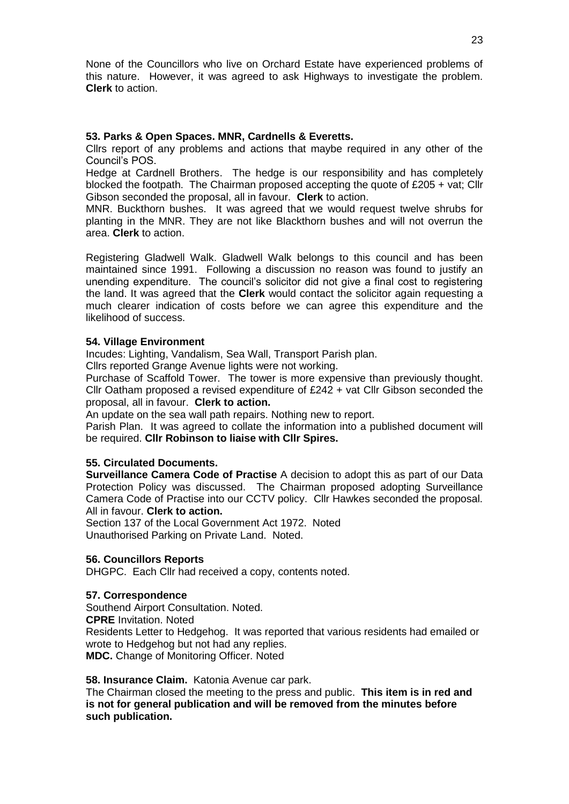None of the Councillors who live on Orchard Estate have experienced problems of this nature. However, it was agreed to ask Highways to investigate the problem. **Clerk** to action.

## **53. Parks & Open Spaces. MNR, Cardnells & Everetts.**

Cllrs report of any problems and actions that maybe required in any other of the Council's POS.

Hedge at Cardnell Brothers. The hedge is our responsibility and has completely blocked the footpath. The Chairman proposed accepting the quote of £205 + vat; Cllr Gibson seconded the proposal, all in favour. **Clerk** to action.

MNR. Buckthorn bushes. It was agreed that we would request twelve shrubs for planting in the MNR. They are not like Blackthorn bushes and will not overrun the area. **Clerk** to action.

Registering Gladwell Walk. Gladwell Walk belongs to this council and has been maintained since 1991. Following a discussion no reason was found to justify an unending expenditure. The council's solicitor did not give a final cost to registering the land. It was agreed that the **Clerk** would contact the solicitor again requesting a much clearer indication of costs before we can agree this expenditure and the likelihood of success.

# **54. Village Environment**

Incudes: Lighting, Vandalism, Sea Wall, Transport Parish plan.

Cllrs reported Grange Avenue lights were not working.

Purchase of Scaffold Tower. The tower is more expensive than previously thought. Cllr Oatham proposed a revised expenditure of £242 + vat Cllr Gibson seconded the proposal, all in favour. **Clerk to action.**

An update on the sea wall path repairs. Nothing new to report.

Parish Plan. It was agreed to collate the information into a published document will be required. **Cllr Robinson to liaise with Cllr Spires.**

#### **55. Circulated Documents.**

**Surveillance Camera Code of Practise** A decision to adopt this as part of our Data Protection Policy was discussed. The Chairman proposed adopting Surveillance Camera Code of Practise into our CCTV policy. Cllr Hawkes seconded the proposal. All in favour. **Clerk to action.**

Section 137 of the Local Government Act 1972. Noted Unauthorised Parking on Private Land. Noted.

#### **56. Councillors Reports**

DHGPC. Each Cllr had received a copy, contents noted.

#### **57. Correspondence**

Southend Airport Consultation. Noted. **CPRE** Invitation. Noted Residents Letter to Hedgehog. It was reported that various residents had emailed or wrote to Hedgehog but not had any replies. **MDC.** Change of Monitoring Officer. Noted

#### **58. Insurance Claim.** Katonia Avenue car park.

The Chairman closed the meeting to the press and public. **This item is in red and is not for general publication and will be removed from the minutes before such publication.**